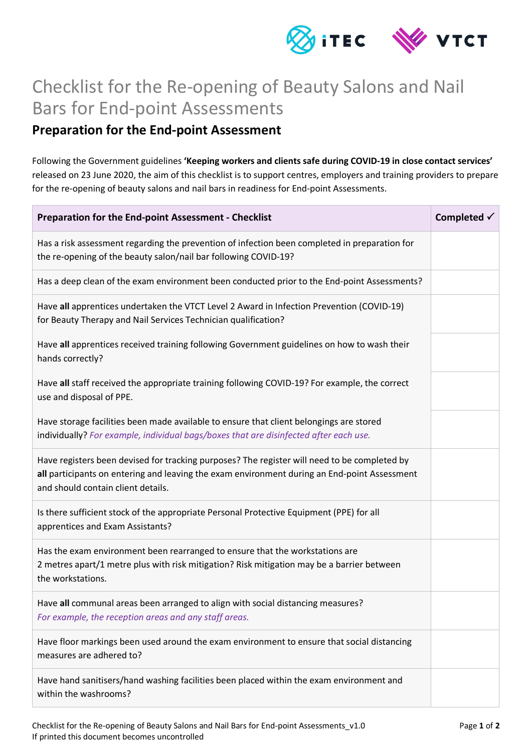

## Checklist for the Re-opening of Beauty Salons and Nail Bars for End-point Assessments

## **Preparation for the End-point Assessment**

Following the Government guidelines **'Keeping workers and clients safe during COVID-19 in close contact services'** released on 23 June 2020, the aim of this checklist is to support centres, employers and training providers to prepare for the re-opening of beauty salons and nail bars in readiness for End-point Assessments.

| Preparation for the End-point Assessment - Checklist                                                                                                                                                                               | Completed $\checkmark$ |
|------------------------------------------------------------------------------------------------------------------------------------------------------------------------------------------------------------------------------------|------------------------|
| Has a risk assessment regarding the prevention of infection been completed in preparation for<br>the re-opening of the beauty salon/nail bar following COVID-19?                                                                   |                        |
| Has a deep clean of the exam environment been conducted prior to the End-point Assessments?                                                                                                                                        |                        |
| Have all apprentices undertaken the VTCT Level 2 Award in Infection Prevention (COVID-19)<br>for Beauty Therapy and Nail Services Technician qualification?                                                                        |                        |
| Have all apprentices received training following Government guidelines on how to wash their<br>hands correctly?                                                                                                                    |                        |
| Have all staff received the appropriate training following COVID-19? For example, the correct<br>use and disposal of PPE.                                                                                                          |                        |
| Have storage facilities been made available to ensure that client belongings are stored<br>individually? For example, individual bags/boxes that are disinfected after each use.                                                   |                        |
| Have registers been devised for tracking purposes? The register will need to be completed by<br>all participants on entering and leaving the exam environment during an End-point Assessment<br>and should contain client details. |                        |
| Is there sufficient stock of the appropriate Personal Protective Equipment (PPE) for all<br>apprentices and Exam Assistants?                                                                                                       |                        |
| Has the exam environment been rearranged to ensure that the workstations are<br>2 metres apart/1 metre plus with risk mitigation? Risk mitigation may be a barrier between<br>the workstations.                                    |                        |
| Have all communal areas been arranged to align with social distancing measures?<br>For example, the reception areas and any staff areas.                                                                                           |                        |
| Have floor markings been used around the exam environment to ensure that social distancing<br>measures are adhered to?                                                                                                             |                        |
| Have hand sanitisers/hand washing facilities been placed within the exam environment and<br>within the washrooms?                                                                                                                  |                        |